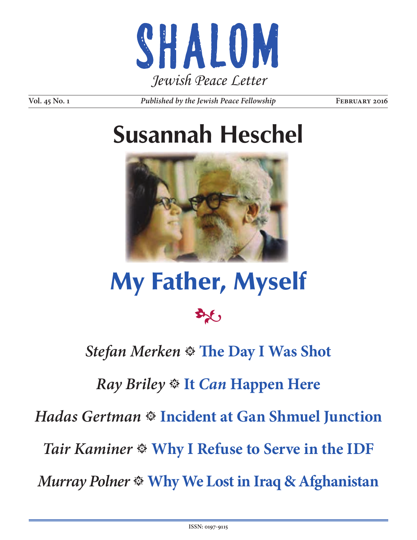

**Vol. 45 No. 1** *Published by the Jewish Peace Fellowship* **<b>FEBRUARY 2016** 

# **Susannah Heschel**



# My Father, Myself



### **Stefan Merken**  $*$  **The Day I Was Shot**

### *Ray Briley* **It** *Can* **Happen Here**

*Hadas Gertman* **Incident at Gan Shmuel Junction**

*Tair Kaminer* **Why I Refuse to Serve in the IDF**

*Murray Polner* **Why We Lost in Iraq & Afghanistan**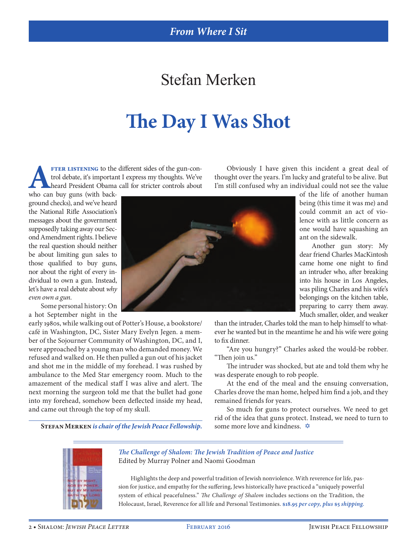### Stefan Merken

# **The Day I Was Shot**

**AFTER LISTENING** to the different sides of the gun-control debate, it's important I express my thoughts. We've heard President Obama call for stricter controls about who can buy guns (with backtrol debate, it's important I express my thoughts. We've heard President Obama call for stricter controls about

Obviously I have given this incident a great deal of thought over the years. I'm lucky and grateful to be alive. But I'm still confused why an individual could not see the value

who can buy guns (with background checks), and we've heard the National Rifle Association's messages about the government supposedly taking away our Second Amendment rights. I believe the real question should neither be about limiting gun sales to those qualified to buy guns, nor about the right of every individual to own a gun. Instead, let's have a real debate about *why even own a gun*.

Some personal history: On a hot September night in the

early 1980s, while walking out of Potter's House, a bookstore/ café in Washington, DC, Sister Mary Evelyn Jegen. a member of the Sojourner Community of Washington, DC, and I, were approached by a young man who demanded money. We refused and walked on. He then pulled a gun out of his jacket and shot me in the middle of my forehead. I was rushed by ambulance to the Med Star emergency room. Much to the amazement of the medical staff I was alive and alert. The next morning the surgeon told me that the bullet had gone into my forehead, somehow been deflected inside my head, and came out through the top of my skull.

**STEFAN MERKEN** *is chair of the Jewish Peace Fellowship.* some more love and kindness.  $\triangle$ 



of the life of another human being (this time it was me) and could commit an act of violence with as little concern as one would have squashing an ant on the sidewalk.

Another gun story: My dear friend Charles MacKintosh came home one night to find an intruder who, after breaking into his house in Los Angeles, was piling Charles and his wife's belongings on the kitchen table, preparing to carry them away. Much smaller, older, and weaker

than the intruder, Charles told the man to help himself to whatever he wanted but in the meantime he and his wife were going to fix dinner.

"Are you hungry?" Charles asked the would-be robber. "Then join us."

The intruder was shocked, but ate and told them why he was desperate enough to rob people.

At the end of the meal and the ensuing conversation, Charles drove the man home, helped him find a job, and they remained friends for years.

So much for guns to protect ourselves. We need to get rid of the idea that guns protect. Instead, we need to turn to



*The Challenge of Shalom: The Jewish Tradition of Peace and Justice* Edited by Murray Polner and Naomi Goodman

Highlights the deep and powerful tradition of Jewish nonviolence. With reverence for life, passion for justice, and empathy for the suffering, Jews historically have practiced a "uniquely powerful system of ethical peacefulness." *The Challenge of Shalom* includes sections on the Tradition, the Holocaust, Israel, Reverence for all life and Personal Testimonies. **\$18.95** *per copy, plus* **\$5** *shipping.*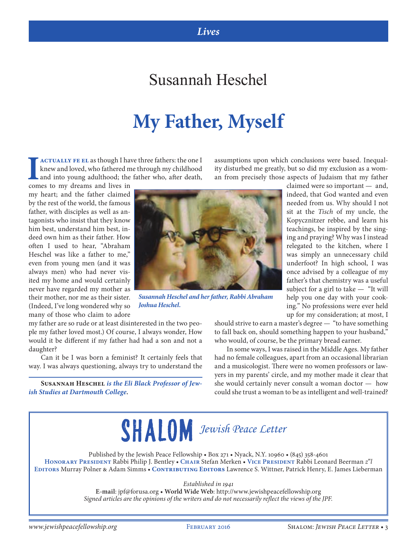#### *Lives*

#### Susannah Heschel

# **My Father, Myself**

**ACTUALLY FE EL as though I have three fathers: the one I** knew and loved, who fathered me through my childhood and into young adulthood; the father who, after death,

comes to my dreams and lives in my heart; and the father claimed by the rest of the world, the famous father, with disciples as well as antagonists who insist that they know him best, understand him best, indeed own him as their father. How often I used to hear, "Abraham Heschel was like a father to me," even from young men (and it was always men) who had never visited my home and would certainly never have regarded my mother as their mother, nor me as their sister. (Indeed, I've long wondered why so many of those who claim to adore



*Susannah Heschel and her father, Rabbi Abraham Joshua Heschel.*

my father are so rude or at least disinterested in the two people my father loved most.) Of course, I always wonder, How would it be different if my father had had a son and not a daughter?

Can it be I was born a feminist? It certainly feels that way. I was always questioning, always try to understand the

**Susannah Heschel** *is the Eli Black Professor of Jewish Studies at Dartmouth College.*

an from precisely those aspects of Judaism that my father claimed were so important — and, indeed, that God wanted and even needed from us. Why should I not sit at the *Tisch* of my uncle, the Kopycznitzer rebbe, and learn his teachings, be inspired by the singing and praying? Why was I instead

assumptions upon which conclusions were based. Inequality disturbed me greatly, but so did my exclusion as a wom-

> relegated to the kitchen, where I was simply an unnecessary child underfoot? In high school, I was once advised by a colleague of my father's that chemistry was a useful subject for a girl to take — "It will help you one day with your cooking." No professions were ever held up for my consideration; at most, I

should strive to earn a master's degree — "to have something to fall back on, should something happen to your husband," who would, of course, be the primary bread earner.

In some ways, I was raised in the Middle Ages. My father had no female colleagues, apart from an occasional librarian and a musicologist. There were no women professors or lawyers in my parents' circle, and my mother made it clear that she would certainly never consult a woman doctor — how could she trust a woman to be as intelligent and well-trained?



Published by the Jewish Peace Fellowship • Box 271 • Nyack, N.Y. 10960 • (845) 358-4601 **Honorary President** Rabbi Philip J. Bentley • **Chair** Stefan Merken • **Vice President** Rabbi Leonard Beerman *z***"***l* **Editors** Murray Polner & Adam Simms • **Contributing Editors** Lawrence S. Wittner, Patrick Henry, E. James Lieberman

*Established in 1941*

**E-mail**: jpf@forusa.org • **World Wide Web**: http://www.jewishpeacefellowship.org *Signed articles are the opinions of the writers and do not necessarily reflect the views of the JPF.*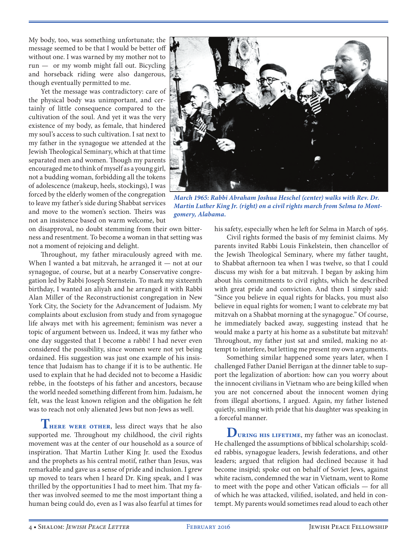My body, too, was something unfortunate; the message seemed to be that I would be better off without one. I was warned by my mother not to run — or my womb might fall out. Bicycling and horseback riding were also dangerous, though eventually permitted to me.

Yet the message was contradictory: care of the physical body was unimportant, and certainly of little consequence compared to the cultivation of the soul. And yet it was the very existence of my body, as female, that hindered my soul's access to such cultivation. I sat next to my father in the synagogue we attended at the Jewish Theological Seminary, which at that time separated men and women. Though my parents encouraged me to think of myself as a young girl, not a budding woman, forbidding all the tokens of adolescence (makeup, heels, stockings), I was forced by the elderly women of the congregation to leave my father's side during Shabbat services and move to the women's section. Theirs was not an insistence based on warm welcome, but on disapproval, no doubt stemming from their own bitter-

ness and resentment. To become a woman in that setting was not a moment of rejoicing and delight.

Throughout, my father miraculously agreed with me. When I wanted a bat mitzvah, he arranged it — not at our synagogue, of course, but at a nearby Conservative congregation led by Rabbi Joseph Sternstein. To mark my sixteenth birthday, I wanted an aliyah and he arranged it with Rabbi Alan Miller of the Reconstructionist congregation in New York City, the Society for the Advancement of Judaism. My complaints about exclusion from study and from synagogue life always met with his agreement; feminism was never a topic of argument between us. Indeed, it was my father who one day suggested that I become a rabbi! I had never even considered the possibility, since women were not yet being ordained. His suggestion was just one example of his insistence that Judaism has to change if it is to be authentic. He used to explain that he had decided not to become a Hasidic rebbe, in the footsteps of his father and ancestors, because the world needed something different from him. Judaism, he felt, was the least known religion and the obligation he felt was to reach not only alienated Jews but non-Jews as well.

**THERE WERE OTHER, less direct ways that he also** supported me. Throughout my childhood, the civil rights movement was at the center of our household as a source of inspiration. That Martin Luther King Jr. used the Exodus and the prophets as his central motif, rather than Jesus, was remarkable and gave us a sense of pride and inclusion. I grew up moved to tears when I heard Dr. King speak, and I was thrilled by the opportunities I had to meet him. That my father was involved seemed to me the most important thing a human being could do, even as I was also fearful at times for



*March 1965: Rabbi Abraham Joshua Heschel (center) walks with Rev. Dr. Martin Luther King Jr. (right) on a civil rights march from Selma to Montgomery, Alabama.*

his safety, especially when he left for Selma in March of 1965.

Civil rights formed the basis of my feminist claims. My parents invited Rabbi Louis Finkelstein, then chancellor of the Jewish Theological Seminary, where my father taught, to Shabbat afternoon tea when I was twelve, so that I could discuss my wish for a bat mitzvah. I began by asking him about his commitments to civil rights, which he described with great pride and conviction. And then I simply said: "Since you believe in equal rights for blacks, you must also believe in equal rights for women; I want to celebrate my bat mitzvah on a Shabbat morning at the synagogue." Of course, he immediately backed away, suggesting instead that he would make a party at his home as a substitute bat mitzvah! Throughout, my father just sat and smiled, making no attempt to interfere, but letting me present my own arguments.

Something similar happened some years later, when I challenged Father Daniel Berrigan at the dinner table to support the legalization of abortion: how can you worry about the innocent civilians in Vietnam who are being killed when you are not concerned about the innocent women dying from illegal abortions, I argued. Again, my father listened quietly, smiling with pride that his daughter was speaking in a forceful manner.

**During his lifetime**, my father was an iconoclast. He challenged the assumptions of biblical scholarship; scolded rabbis, synagogue leaders, Jewish federations, and other leaders; argued that religion had declined because it had become insipid; spoke out on behalf of Soviet Jews, against white racism, condemned the war in Vietnam, went to Rome to meet with the pope and other Vatican officials — for all of which he was attacked, vilified, isolated, and held in contempt. My parents would sometimes read aloud to each other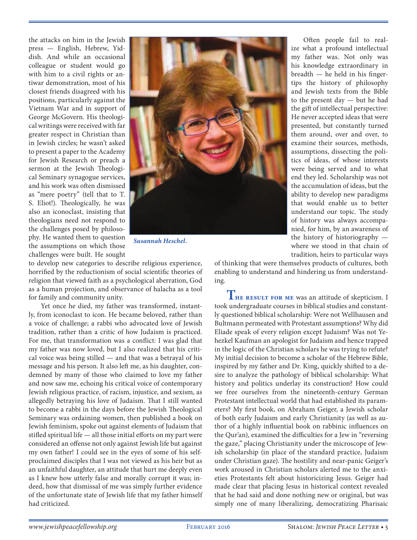the attacks on him in the Jewish press — English, Hebrew, Yiddish. And while an occasional colleague or student would go with him to a civil rights or antiwar demonstration, most of his closest friends disagreed with his positions, particularly against the Vietnam War and in support of George McGovern. His theological writings were received with far greater respect in Christian than in Jewish circles; he wasn't asked to present a paper to the Academy for Jewish Research or preach a sermon at the Jewish Theological Seminary synagogue services, and his work was often dismissed as "mere poetry" (tell that to T. S. Eliot!). Theologically, he was also an iconoclast, insisting that theologians need not respond to the challenges posed by philosophy. He wanted them to question the assumptions on which those challenges were built. He sought



*Susannah Heschel.*

to develop new categories to describe religious experience, horrified by the reductionism of social scientific theories of religion that viewed faith as a psychological aberration, God as a human projection, and observance of halacha as a tool for family and community unity.

Yet once he died, my father was transformed, instantly, from iconoclast to icon. He became beloved, rather than a voice of challenge; a rabbi who advocated love of Jewish tradition, rather than a critic of how Judaism is practiced. For me, that transformation was a conflict: I was glad that my father was now loved, but I also realized that his critical voice was being stilled — and that was a betrayal of his message and his person. It also left me, as his daughter, condemned by many of those who claimed to love my father and now saw me, echoing his critical voice of contemporary Jewish religious practice, of racism, injustice, and sexism, as allegedly betraying his love of Judaism. That I still wanted to become a rabbi in the days before the Jewish Theological Seminary was ordaining women, then published a book on Jewish feminism, spoke out against elements of Judaism that stifled spiritual life — all those initial efforts on my part were considered an offense not only against Jewish life but against my own father! I could see in the eyes of some of his selfproclaimed disciples that I was not viewed as his heir but as an unfaithful daughter, an attitude that hurt me deeply even as I knew how utterly false and morally corrupt it was; indeed, how that dismissal of me was simply further evidence of the unfortunate state of Jewish life that my father himself had criticized.

Often people fail to realize what a profound intellectual my father was. Not only was his knowledge extraordinary in breadth — he held in his fingertips the history of philosophy and Jewish texts from the Bible to the present day — but he had the gift of intellectual perspective: He never accepted ideas that were presented, but constantly turned them around, over and over, to examine their sources, methods, assumptions, dissecting the politics of ideas, of whose interests were being served and to what end they led. Scholarship was not the accumulation of ideas, but the ability to develop new paradigms that would enable us to better understand our topic. The study of history was always accompanied, for him, by an awareness of the history of historiography where we stood in that chain of tradition, heirs to particular ways

of thinking that were themselves products of cultures, both enabling to understand and hindering us from understanding.

**The result for me** was an attitude of skepticism. I took undergraduate courses in biblical studies and constantly questioned biblical scholarship: Were not Wellhausen and Bultmann permeated with Protestant assumptions? Why did Eliade speak of every religion except Judaism? Was not Yehezkel Kaufman an apologist for Judaism and hence trapped in the logic of the Christian scholars he was trying to refute? My initial decision to become a scholar of the Hebrew Bible, inspired by my father and Dr. King, quickly shifted to a desire to analyze the pathology of biblical scholarship: What history and politics underlay its construction? How could we free ourselves from the nineteenth-century German Protestant intellectual world that had established its parameters? My first book, on Abraham Geiger, a Jewish scholar of both early Judaism and early Christianity (as well as author of a highly influential book on rabbinic influences on the Qur'an), examined the difficulties for a Jew in "reversing the gaze," placing Christianity under the microscope of Jewish scholarship (in place of the standard practice, Judaism under Christian gaze). The hostility and near-panic Geiger's work aroused in Christian scholars alerted me to the anxieties Protestants felt about historicizing Jesus. Geiger had made clear that placing Jesus in historical context revealed that he had said and done nothing new or original, but was simply one of many liberalizing, democratizing Pharisaic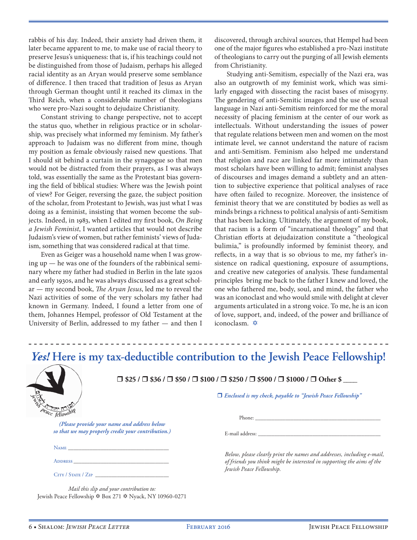rabbis of his day. Indeed, their anxiety had driven them, it later became apparent to me, to make use of racial theory to preserve Jesus's uniqueness: that is, if his teachings could not be distinguished from those of Judaism, perhaps his alleged racial identity as an Aryan would preserve some semblance of difference. I then traced that tradition of Jesus as Aryan through German thought until it reached its climax in the Third Reich, when a considerable number of theologians who were pro-Nazi sought to dejudaize Christianity.

Constant striving to change perspective, not to accept the status quo, whether in religious practice or in scholarship, was precisely what informed my feminism. My father's approach to Judaism was no different from mine, though my position as female obviously raised new questions. That I should sit behind a curtain in the synagogue so that men would not be distracted from their prayers, as I was always told, was essentially the same as the Protestant bias governing the field of biblical studies: Where was the Jewish point of view? For Geiger, reversing the gaze, the subject position of the scholar, from Protestant to Jewish, was just what I was doing as a feminist, insisting that women become the subjects. Indeed, in 1983, when I edited my first book, *On Being a Jewish Feminist*, I wanted articles that would not describe Judaism's view of women, but rather feminists' views of Judaism, something that was considered radical at that time.

Even as Geiger was a household name when I was growing up — he was one of the founders of the rabbinical seminary where my father had studied in Berlin in the late 1920s and early 1930s, and he was always discussed as a great scholar — my second book, *The Aryan Jesus*, led me to reveal the Nazi activities of some of the very scholars my father had known in Germany. Indeed, I found a letter from one of them, Johannes Hempel, professor of Old Testament at the University of Berlin, addressed to my father — and then I

discovered, through archival sources, that Hempel had been one of the major figures who established a pro-Nazi institute of theologians to carry out the purging of all Jewish elements from Christianity.

Studying anti-Semitism, especially of the Nazi era, was also an outgrowth of my feminist work, which was similarly engaged with dissecting the racist bases of misogyny. The gendering of anti-Semitic images and the use of sexual language in Nazi anti-Semitism reinforced for me the moral necessity of placing feminism at the center of our work as intellectuals. Without understanding the issues of power that regulate relations between men and women on the most intimate level, we cannot understand the nature of racism and anti-Semitism. Feminism also helped me understand that religion and race are linked far more intimately than most scholars have been willing to admit; feminist analyses of discourses and images demand a subtlety and an attention to subjective experience that political analyses of race have often failed to recognize. Moreover, the insistence of feminist theory that we are constituted by bodies as well as minds brings a richness to political analysis of anti-Semitism that has been lacking. Ultimately, the argument of my book, that racism is a form of "incarnational theology" and that Christian efforts at dejudaization constitute a "theological bulimia," is profoundly informed by feminist theory, and reflects, in a way that is so obvious to me, my father's insistence on radical questioning, exposure of assumptions, and creative new categories of analysis. These fundamental principles bring me back to the father I knew and loved, the one who fathered me, body, soul, and mind, the father who was an iconoclast and who would smile with delight at clever arguments articulated in a strong voice. To me, he is an icon of love, support, and, indeed, of the power and brilliance of iconoclasm.  $\triangle$ 

#### *Yes!* **Here is my tax-deductible contribution to the Jewish Peace Fellowship!**



**\$25 / \$36 / \$50 / \$100 / \$250 / \$500 / \$1000 / Other \$ \_\_\_\_**

*Enclosed is my check, payable to "Jewish Peace Fellowship"*

*(Please provide your name and address below so that we may properly credit your contribution.)*

| Name |  |  |  |  |  |
|------|--|--|--|--|--|
|      |  |  |  |  |  |
|      |  |  |  |  |  |

Address

CITY / STATE / ZIP

*Mail this slip and your contribution to:* Jewish Peace Fellowship  $\hat{\phi}$  Box 271  $\hat{\phi}$  Nyack, NY 10960-0271 E-mail address:

*Below, please clearly print the names and addresses, including e-mail, of friends you think might be interested in supporting the aims of the Jewish Peace Fellowship.*

Phone: \_\_\_\_\_\_\_\_\_\_\_\_\_\_\_\_\_\_\_\_\_\_\_\_\_\_\_\_\_\_\_\_\_\_\_\_\_\_\_\_\_\_\_\_\_\_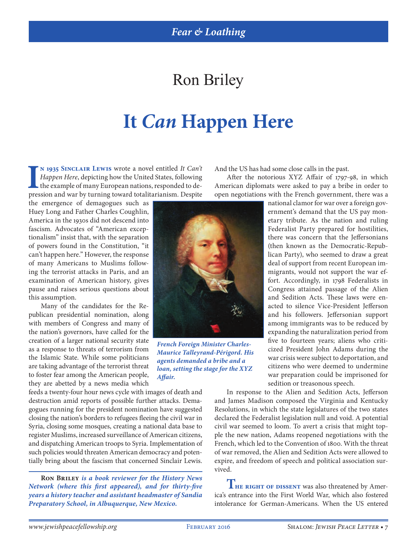### Ron Briley

# **It** *Can* **Happen Here**

IV 1935 SINCLAIR LEWIS wrote a novel entitled It Can't Happen Here, depicting how the United States, following the example of many European nations, responded to depression and war by turning toward totalitarianism. Despit **n 1935 Sinclair Lewis** wrote a novel entitled *It Can't Happen Here*, depicting how the United States, following the example of many European nations, responded to de-

the emergence of demagogues such as Huey Long and Father Charles Coughlin, America in the 1930s did not descend into fascism. Advocates of "American exceptionalism" insist that, with the separation of powers found in the Constitution, "it can't happen here." However, the response of many Americans to Muslims following the terrorist attacks in Paris, and an examination of American history, gives pause and raises serious questions about this assumption.

Many of the candidates for the Republican presidential nomination, along with members of Congress and many of the nation's governors, have called for the creation of a larger national security state as a response to threats of terrorism from the Islamic State. While some politicians are taking advantage of the terrorist threat to foster fear among the American people, they are abetted by a news media which

feeds a twenty-four hour news cycle with images of death and destruction amid reports of possible further attacks. Demagogues running for the president nomination have suggested closing the nation's borders to refugees fleeing the civil war in Syria, closing some mosques, creating a national data base to register Muslims, increased surveillance of American citizens, and dispatching American troops to Syria. Implementation of such policies would threaten American democracy and potentially bring about the fascism that concerned Sinclair Lewis.

**Ron Briley** *is a book reviewer for the History News Network (where this first appeared), and for thirty-five years a history teacher and assistant headmaster of Sandia Preparatory School, in Albuquerque, New Mexico.*

And the US has had some close calls in the past.

After the notorious XYZ Affair of 1797-98, in which American diplomats were asked to pay a bribe in order to open negotiations with the French government, there was a

> national clamor for war over a foreign government's demand that the US pay monetary tribute. As the nation and ruling Federalist Party prepared for hostilities, there was concern that the Jeffersonians (then known as the Democratic-Republican Party), who seemed to draw a great deal of support from recent European immigrants, would not support the war effort. Accordingly, in 1798 Federalists in Congress attained passage of the Alien and Sedition Acts. These laws were enacted to silence Vice-President Jefferson and his followers. Jeffersonian support among immigrants was to be reduced by expanding the naturalization period from five to fourteen years; aliens who criticized President John Adams during the war crisis were subject to deportation, and citizens who were deemed to undermine war preparation could be imprisoned for sedition or treasonous speech.

In response to the Alien and Sedition Acts, Jefferson and James Madison composed the Virginia and Kentucky Resolutions, in which the state legislatures of the two states declared the Federalist legislation null and void. A potential civil war seemed to loom. To avert a crisis that might topple the new nation, Adams reopened negotiations with the French, which led to the Convention of 1800. With the threat of war removed, the Alien and Sedition Acts were allowed to expire, and freedom of speech and political association survived.

**THE RIGHT OF DISSENT** was also threatened by America's entrance into the First World War, which also fostered intolerance for German-Americans. When the US entered



*French Foreign Minister Charles-Maurice Talleyrand-Périgord. His agents demanded a bribe and a loan, setting the stage for the XYZ Affair.*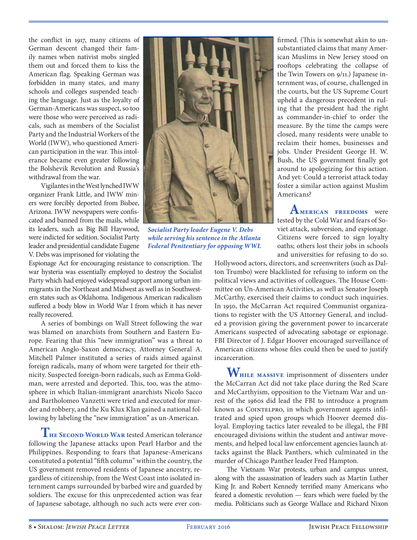the conflict in 1917, many citizens of German descent changed their family names when nativist mobs singled them out and forced them to kiss the American flag. Speaking German was forbidden in many states, and many schools and colleges suspended teaching the language. Just as the loyalty of German-Americans was suspect, so too were those who were perceived as radicals, such as members of the Socialist Party and the Industrial Workers of the World (IWW), who questioned American participation in the war. This intolerance became even greater following the Bolshevik Revolution and Russia's withdrawal from the war.

Vigilantes in the West lynched IWW organizer Frank Little, and IWW miners were forcibly deported from Bisbee, Arizona. IWW newspapers were confiscated and banned from the mails, while its leaders, such as Big Bill Haywood, were indicted for sedition. Socialist Party leader and presidential candidate Eugene V. Debs was imprisoned for violating the

Espionage Act for encouraging resistance to conscription. The war hysteria was essentially employed to destroy the Socialist Party which had enjoyed widespread support among urban immigrants in the Northeast and Midwest as well as in Southwestern states such as Oklahoma. Indigenous American radicalism suffered a body blow in World War I from which it has never really recovered.

A series of bombings on Wall Street following the war was blamed on anarchists from Southern and Eastern Europe. Fearing that this "new immigration" was a threat to American Anglo-Saxon democracy, Attorney General A. Mitchell Palmer instituted a series of raids aimed against foreign radicals, many of whom were targeted for their ethnicity. Suspected foreign-born radicals, such as Emma Goldman, were arrested and deported. This, too, was the atmosphere in which Italian-immigrant anarchists Nicolo Sacco and Bartholomeo Vanzetti were tried and executed for murder and robbery, and the Ku Klux Klan gained a national following by labeling the "new immigration" as un-American.

**The Second World War** tested American tolerance following the Japanese attacks upon Pearl Harbor and the Philippines. Responding to fears that Japanese-Americans constituted a potential "fifth column" within the country, the US government removed residents of Japanese ancestry, regardless of citizenship, from the West Coast into isolated internment camps surrounded by barbed wire and guarded by soldiers. The excuse for this unprecedented action was fear of Japanese sabotage, although no such acts were ever con-



*Socialist Party leader Eugene V. Debs while serving his sentence in the Atlanta Federal Penitentiary for opposing WWI.*

firmed. (This is somewhat akin to unsubstantiated claims that many American Muslims in New Jersey stood on rooftops celebrating the collapse of the Twin Towers on 9/11.) Japanese internment was, of course, challenged in the courts, but the US Supreme Court upheld a dangerous precedent in ruling that the president had the right as commander-in-chief to order the measure. By the time the camps were closed, many residents were unable to reclaim their homes, businesses and jobs. Under President George H. W. Bush, the US government finally got around to apologizing for this action. And yet: Could a terrorist attack today foster a similar action against Muslim Americans?

**American freedoms** were tested by the Cold War and fears of Soviet attack, subversion, and espionage. Citizens were forced to sign loyalty oaths; others lost their jobs in schools and universities for refusing to do so.

Hollywood actors, directors, and screenwriters (such as Dalton Trumbo) were blacklisted for refusing to inform on the political views and activities of colleagues. The House Committee on Un-American Activities, as well as Senator Joseph McCarthy, exercised their claims to conduct such inquiries. In 1950, the McCarran Act required Communist organizations to register with the US Attorney General, and included a provision giving the government power to incarcerate Americans suspected of advocating sabotage or espionage. FBI Director of J. Edgar Hoover encouraged surveillance of American citizens whose files could then be used to justify incarceration.

**While massive** imprisonment of dissenters under the McCarran Act did not take place during the Red Scare and McCarthyism, opposition to the Vietnam War and unrest of the 1960s did lead the FBI to introduce a program known as COINTELPRO, in which government agents infiltrated and spied upon groups which Hoover deemed disloyal. Employing tactics later revealed to be illegal, the FBI encouraged divisions within the student and antiwar movements, and helped local law enforcement agencies launch attacks against the Black Panthers, which culminated in the murder of Chicago Panther leader Fred Hampton.

The Vietnam War protests, urban and campus unrest, along with the assassination of leaders such as Martin Luther King Jr. and Robert Kennedy terrified many Americans who feared a domestic revolution — fears which were fueled by the media. Politicians such as George Wallace and Richard Nixon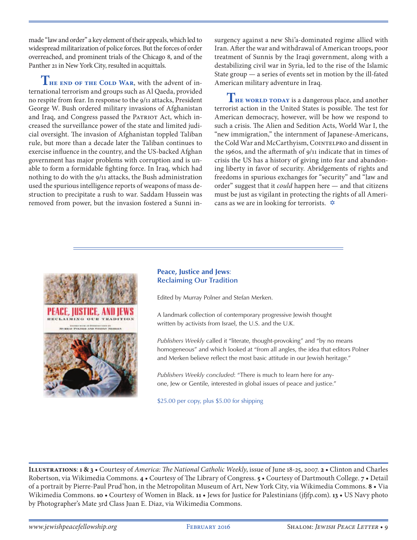made "law and order" a key element of their appeals, which led to widespread militarization of police forces. But the forces of order overreached, and prominent trials of the Chicago 8, and of the Panther 21 in New York City, resulted in acquittals.

**The end of the Cold War**, with the advent of international terrorism and groups such as Al Qaeda, provided no respite from fear. In response to the 9/11 attacks, President George W. Bush ordered military invasions of Afghanistan and Iraq, and Congress passed the PATRIOT Act, which increased the surveillance power of the state and limited judicial oversight. The invasion of Afghanistan toppled Taliban rule, but more than a decade later the Taliban continues to exercise influence in the country, and the US-backed Afghan government has major problems with corruption and is unable to form a formidable fighting force. In Iraq, which had nothing to do with the 9/11 attacks, the Bush administration used the spurious intelligence reports of weapons of mass destruction to precipitate a rush to war. Saddam Hussein was removed from power, but the invasion fostered a Sunni insurgency against a new Shi'a-dominated regime allied with Iran. After the war and withdrawal of American troops, poor treatment of Sunnis by the Iraqi government, along with a destabilizing civil war in Syria, led to the rise of the Islamic State group — a series of events set in motion by the ill-fated American military adventure in Iraq.

**THE WORLD TODAY** is a dangerous place, and another terrorist action in the United States is possible. The test for American democracy, however, will be how we respond to such a crisis. The Alien and Sedition Acts, World War I, the "new immigration," the internment of Japanese-Americans, the Cold War and McCarthyism, COINTELPRO and dissent in the 1960s, and the aftermath of  $9/11$  indicate that in times of crisis the US has a history of giving into fear and abandoning liberty in favor of security. Abridgements of rights and freedoms in spurious exchanges for "security" and "law and order" suggest that it *could* happen here — and that citizens must be just as vigilant in protecting the rights of all Americans as we are in looking for terrorists.  $\triangle$ 



#### **Peace, Justice and Jews**: **Reclaiming Our Tradition**

Edited by Murray Polner and Stefan Merken.

A landmark collection of contemporary progressive Jewish thought written by activists from Israel, the U.S. and the U.K.

*Publishers Weekly* called it "literate, thought-provoking" and "by no means homogeneous" and which looked at "from all angles, the idea that editors Polner and Merken believe reflect the most basic attitude in our Jewish heritage."

*Publishers Weekly concluded*: "There is much to learn here for anyone, Jew or Gentile, interested in global issues of peace and justice."

\$25.00 per copy, plus \$5.00 for shipping

**ILLUSTRATIONS: 1 & 3 •** Courtesy of *America: The National Catholic Weekly*, issue of June 18-25, 2007. **2 •** Clinton and Charles Robertson, via Wikimedia Commons. 4 • Courtesy of The Library of Congress. 5 • Courtesy of Dartmouth College. 7 • Detail of a portrait by Pierre-Paul Prud'hon, in the Metropolitan Museum of Art, New York City, via Wikimedia Commons. **•** Via Wikimedia Commons. **10** • Courtesy of Women in Black. **11** • Jews for Justice for Palestinians (jfjfp.com). **13** • US Navy photo by Photographer's Mate 3rd Class Juan E. Diaz, via Wikimedia Commons.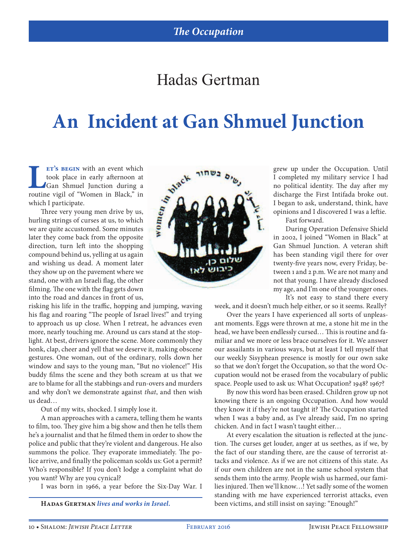#### Hadas Gertman

# **An Incident at Gan Shmuel Junction**

**Let's begin** with an event which<br>took place in early afternoon at<br>Gan Shmuel Junction during a<br>routine vigil of "Women in Black." in ET'S BEGIN with an event which<br>took place in early afternoon at<br>IGan Shmuel Junction during a<br>ne vigil of "Women in Black," in<br>1 participate.<br>three very young men drive by us,<br>ng strings of curses at us, to which<br>equite ac Gan Shmuel Junction during a routine vigil of "Women in Black," in which I participate.

Three very young men drive by us, hurling strings of curses at us, to which we are quite accustomed. Some minutes later they come back from the opposite direction, turn left into the shopping compound behind us, yelling at us again and wishing us dead. A moment later they show up on the pavement where we stand, one with an Israeli flag, the other filming. The one with the flag gets down into the road and dances in front of us,

risking his life in the traffic, hopping and jumping, waving his flag and roaring "The people of Israel lives!" and trying to approach us up close. When I retreat, he advances even more, nearly touching me. Around us cars stand at the stoplight. At best, drivers ignore the scene. More commonly they honk, clap, cheer and yell that we deserve it, making obscene gestures. One woman, out of the ordinary, rolls down her window and says to the young man, "But no violence!" His buddy films the scene and they both scream at us that we are to blame for all the stabbings and run-overs and murders and why don't we demonstrate against *that*, and then wish us dead…

Out of my wits, shocked. I simply lose it.

A man approaches with a camera, telling them he wants to film, too. They give him a big show and then he tells them he's a journalist and that he filmed them in order to show the police and public that they're violent and dangerous. He also summons the police. They evaporate immediately. The police arrive, and finally the policeman scolds us: Got a permit? Who's responsible? If you don't lodge a complaint what do you want? Why are you cynical?

I was born in 1966, a year before the Six-Day War. I



grew up under the Occupation. Until I completed my military service I had no political identity. The day after my discharge the First Intifada broke out. I began to ask, understand, think, have opinions and I discovered I was a leftie.

Fast forward.

During Operation Defensive Shield in 2002, I joined "Women in Black" at Gan Shmuel Junction. A veteran shift has been standing vigil there for over twenty-five years now, every Friday, between 1 and 2 p.m. We are not many and not that young. I have already disclosed my age, and I'm one of the younger ones. It's not easy to stand there every

week, and it doesn't much help either, or so it seems. Really?

Over the years I have experienced all sorts of unpleasant moments. Eggs were thrown at me, a stone hit me in the head, we have been endlessly cursed… This is routine and familiar and we more or less brace ourselves for it. We answer our assailants in various ways, but at least I tell myself that our weekly Sisyphean presence is mostly for our own sake so that we don't forget the Occupation, so that the word Occupation would not be erased from the vocabulary of public space. People used to ask us: What Occupation? 1948? 1967?

By now this word has been erased. Children grow up not knowing there is an ongoing Occupation. And how would they know it if they're not taught it? The Occupation started when I was a baby and, as I've already said, I'm no spring chicken. And in fact I wasn't taught either…

At every escalation the situation is reflected at the junction. The curses get louder, anger at us seethes, as if we, by the fact of our standing there, are the cause of terrorist attacks and violence. As if we are not citizens of this state. As if our own children are not in the same school system that sends them into the army. People wish us harmed, our families injured. Then we'll know…! Yet sadly some of the women standing with me have experienced terrorist attacks, even **Hadas Gertman** *lives and works in Israel.* been victims, and still insist on saying: "Enough!"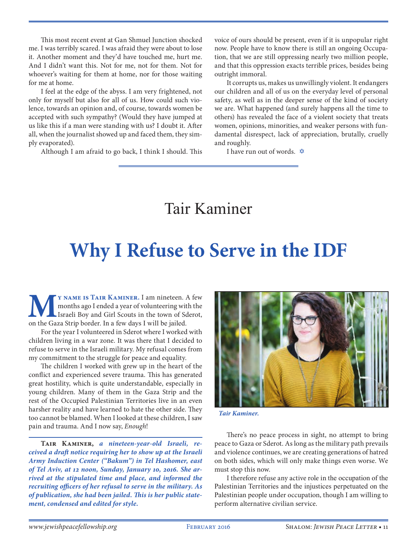This most recent event at Gan Shmuel Junction shocked me. I was terribly scared. I was afraid they were about to lose it. Another moment and they'd have touched me, hurt me. And I didn't want this. Not for me, not for them. Not for whoever's waiting for them at home, nor for those waiting for me at home.

I feel at the edge of the abyss. I am very frightened, not only for myself but also for all of us. How could such violence, towards an opinion and, of course, towards women be accepted with such sympathy? (Would they have jumped at us like this if a man were standing with us? I doubt it. After all, when the journalist showed up and faced them, they simply evaporated).

Although I am afraid to go back, I think I should. This

voice of ours should be present, even if it is unpopular right now. People have to know there is still an ongoing Occupation, that we are still oppressing nearly two million people, and that this oppression exacts terrible prices, besides being outright immoral.

It corrupts us, makes us unwillingly violent. It endangers our children and all of us on the everyday level of personal safety, as well as in the deeper sense of the kind of society we are. What happened (and surely happens all the time to others) has revealed the face of a violent society that treats women, opinions, minorities, and weaker persons with fundamental disrespect, lack of appreciation, brutally, cruelly and roughly.

I have run out of words.  $\oint$ 

#### Tair Kaminer

## **Why I Refuse to Serve in the IDF**

**MURNAME IS TAIR KAMINER.** I am nineteen. A few months ago I ended a year of volunteering with the Israeli Boy and Girl Scouts in the town of Sderot, on the Gaza Strip border. In a few days I will be jailed. months ago I ended a year of volunteering with the Israeli Boy and Girl Scouts in the town of Sderot, on the Gaza Strip border. In a few days I will be jailed.

For the year I volunteered in Sderot where I worked with children living in a war zone. It was there that I decided to refuse to serve in the Israeli military. My refusal comes from my commitment to the struggle for peace and equality.

The children I worked with grew up in the heart of the conflict and experienced severe trauma. This has generated great hostility, which is quite understandable, especially in young children. Many of them in the Gaza Strip and the rest of the Occupied Palestinian Territories live in an even harsher reality and have learned to hate the other side. They too cannot be blamed. When I looked at these children, I saw pain and trauma. And I now say, *Enough*!

**Tair Kaminer,** *a nineteen-year-old Israeli, received a draft notice requiring her to show up at the Israeli Army Induction Center ("Bakum") in Tel Hashomer, east of Tel Aviv, at 12 noon, Sunday, January 10, 2016. She arrived at the stipulated time and place, and informed the recruiting officers of her refusal to serve in the military. As of publication, she had been jailed. This is her public statement, condensed and edited for style.*



*Tair Kaminer.*

There's no peace process in sight, no attempt to bring peace to Gaza or Sderot. As long as the military path prevails and violence continues, we are creating generations of hatred on both sides, which will only make things even worse. We must stop this now.

I therefore refuse any active role in the occupation of the Palestinian Territories and the injustices perpetuated on the Palestinian people under occupation, though I am willing to perform alternative civilian service.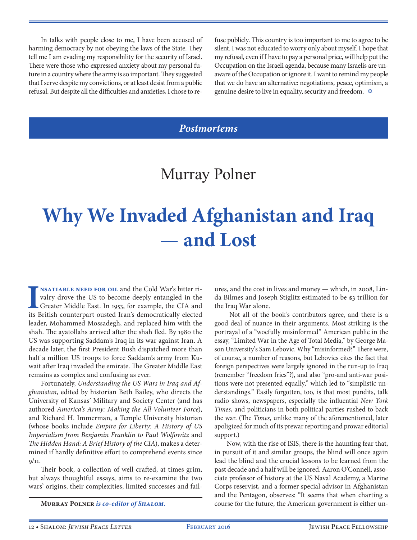In talks with people close to me, I have been accused of harming democracy by not obeying the laws of the State. They tell me I am evading my responsibility for the security of Israel. There were those who expressed anxiety about my personal future in a country where the army is so important. They suggested that I serve despite my convictions, or at least desist from a public refusal. But despite all the difficulties and anxieties, I chose to re-

fuse publicly. This country is too important to me to agree to be silent. I was not educated to worry only about myself. I hope that my refusal, even if I have to pay a personal price, will help put the Occupation on the Israeli agenda, because many Israelis are unaware of the Occupation or ignore it. I want to remind my people that we do have an alternative: negotiations, peace, optimism, a genuine desire to live in equality, security and freedom.  $\hat{\varphi}$ 

#### *Postmortems*

#### Murray Polner

# **Why We Invaded Afghanistan and Iraq — and Lost**

**I**NSATIABLE NEED FOR OIL and the Cold War's bitter rivalry drove the US to become deeply entangled in the Greater Middle East. In 1953, for example, the CIA and its British counterpart ousted Iran's democratically elected **nsatiable need for oil** and the Cold War's bitter rivalry drove the US to become deeply entangled in the Greater Middle East. In 1953, for example, the CIA and leader, Mohammed Mossadegh, and replaced him with the shah. The ayatollahs arrived after the shah fled. By 1980 the US was supporting Saddam's Iraq in its war against Iran. A decade later, the first President Bush dispatched more than half a million US troops to force Saddam's army from Kuwait after Iraq invaded the emirate. The Greater Middle East remains as complex and confusing as ever.

Fortunately, *Understanding the US Wars in Iraq and Afghanistan*, edited by historian Beth Bailey, who directs the University of Kansas' Military and Society Center (and has authored *America's Army: Making the All-Volunteer Force*), and Richard H. Immerman, a Temple University historian (whose books include *Empire for Liberty: A History of US Imperialism from Benjamin Franklin to Paul Wolfowitz* and *The Hidden Hand: A Brief History of the CIA*), makes a determined if hardly definitive effort to comprehend events since 9/11.

Their book, a collection of well-crafted, at times grim, but always thoughtful essays, aims to re-examine the two wars' origins, their complexities, limited successes and fail-

ures, and the cost in lives and money — which, in 2008, Linda Bilmes and Joseph Stiglitz estimated to be \$3 trillion for the Iraq War alone.

 Not all of the book's contributors agree, and there is a good deal of nuance in their arguments. Most striking is the portrayal of a "woefully misinformed" American public in the essay, "Limited War in the Age of Total Media," by George Mason University's Sam Lebovic. Why "misinformed?" There were, of course, a number of reasons, but Lebovics cites the fact that foreign perspectives were largely ignored in the run-up to Iraq (remember "freedom fries"?), and also "pro-and anti-war positions were not presented equally," which led to "simplistic understandings." Easily forgotten, too, is that most pundits, talk radio shows, newspapers, especially the influential *New York Times*, and politicians in both political parties rushed to back the war. (The *Times*, unlike many of the aforementioned, later apoligized for much of its prewar reporting and prowar editorial support.)

Now, with the rise of ISIS, there is the haunting fear that, in pursuit of it and similar groups, the blind will once again lead the blind and the crucial lessons to be learned from the past decade and a half will be ignored. Aaron O'Connell, associate professor of history at the US Naval Academy, a Marine Corps reservist, and a former special advisor in Afghanistan and the Pentagon, observes: "It seems that when charting a **Murray Polner** *is co-editor of Shalom.* course for the future, the American government is either un-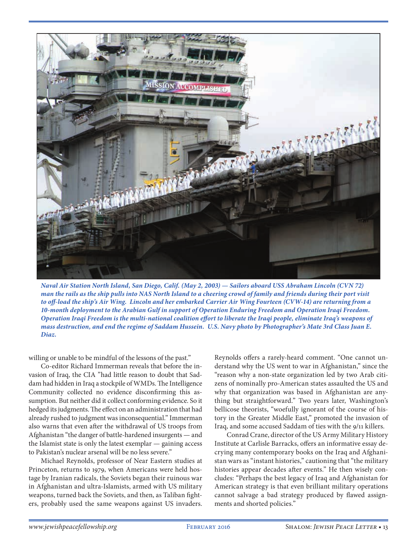

*Naval Air Station North Island, San Diego, Calif. (May 2, 2003) — Sailors aboard USS Abraham Lincoln (CVN 72) man the rails as the ship pulls into NAS North Island to a cheering crowd of family and friends during their port visit to off-load the ship's Air Wing. Lincoln and her embarked Carrier Air Wing Fourteen (CVW-14) are returning from a 10-month deployment to the Arabian Gulf in support of Operation Enduring Freedom and Operation Iraqi Freedom. Operation Iraqi Freedom is the multi-national coalition effort to liberate the Iraqi people, eliminate Iraq's weapons of mass destruction, and end the regime of Saddam Hussein. U.S. Navy photo by Photographer's Mate 3rd Class Juan E. Diaz.*

willing or unable to be mindful of the lessons of the past."

Co-editor Richard Immerman reveals that before the invasion of Iraq, the CIA "had little reason to doubt that Saddam had hidden in Iraq a stockpile of WMDs. The Intelligence Community collected no evidence disconfirming this assumption. But neither did it collect conforming evidence. So it hedged its judgments. The effect on an administration that had already rushed to judgment was inconsequential." Immerman also warns that even after the withdrawal of US troops from Afghanistan "the danger of battle-hardened insurgents — and the Islamist state is only the latest exemplar — gaining access to Pakistan's nuclear arsenal will be no less severe."

Michael Reynolds, professor of Near Eastern studies at Princeton, returns to 1979, when Americans were held hostage by Iranian radicals, the Soviets began their ruinous war in Afghanistan and ultra-Islamists, armed with US military weapons, turned back the Soviets, and then, as Taliban fighters, probably used the same weapons against US invaders.

Reynolds offers a rarely-heard comment. "One cannot understand why the US went to war in Afghanistan," since the "reason why a non-state organization led by two Arab citizens of nominally pro-American states assaulted the US and why that organization was based in Afghanistan are anything but straightforward." Two years later, Washington's bellicose theorists, "woefully ignorant of the course of history in the Greater Middle East," promoted the invasion of Iraq, and some accused Saddam of ties with the 9/11 killers.

Conrad Crane, director of the US Army Military History Institute at Carlisle Barracks, offers an informative essay decrying many contemporary books on the Iraq and Afghanistan wars as "instant histories," cautioning that "the military histories appear decades after events." He then wisely concludes: "Perhaps the best legacy of Iraq and Afghanistan for American strategy is that even brilliant military operations cannot salvage a bad strategy produced by flawed assignments and shorted policies."